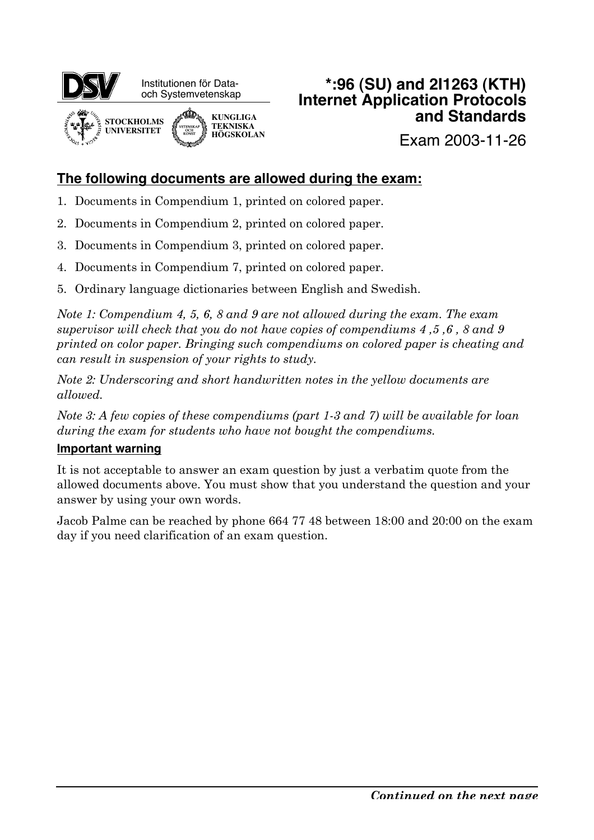

## **\*:96 (SU) and 2I1263 (KTH) Internet Application Protocols and Standards**

Exam 2003-11-26

## **The following documents are allowed during the exam:**

- 1. Documents in Compendium 1, printed on colored paper.
- 2. Documents in Compendium 2, printed on colored paper.
- 3. Documents in Compendium 3, printed on colored paper.
- 4. Documents in Compendium 7, printed on colored paper.
- 5. Ordinary language dictionaries between English and Swedish.

*Note 1: Compendium 4, 5, 6, 8 and 9 are not allowed during the exam. The exam supervisor will check that you do not have copies of compendiums 4 ,5 ,6 , 8 and 9 printed on color paper. Bringing such compendiums on colored paper is cheating and can result in suspension of your rights to study.*

*Note 2: Underscoring and short handwritten notes in the yellow documents are allowed.*

*Note 3: A few copies of these compendiums (part 1-3 and 7) will be available for loan during the exam for students who have not bought the compendiums.*

### **Important warning**

It is not acceptable to answer an exam question by just a verbatim quote from the allowed documents above. You must show that you understand the question and your answer by using your own words.

Jacob Palme can be reached by phone 664 77 48 between 18:00 and 20:00 on the exam day if you need clarification of an exam question.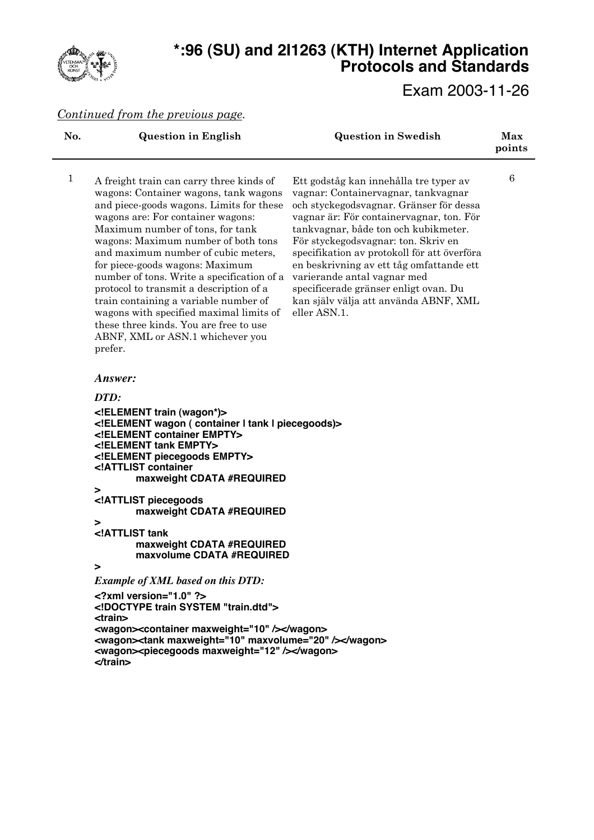

# **\*:96 (SU) and 2I1263 (KTH) Internet Application Protocols and Standards**

Exam 2003-11-26

### *Continued from the previous page.*

| No.          | <b>Question in English</b>                                                                                                                                                                                                                                                                                                                                                                                                                                                                                                                                                                    | <b>Question in Swedish</b>                                                                                                                                                                                                                                                                                                                                                                                                                                                      | Max<br>points   |  |  |
|--------------|-----------------------------------------------------------------------------------------------------------------------------------------------------------------------------------------------------------------------------------------------------------------------------------------------------------------------------------------------------------------------------------------------------------------------------------------------------------------------------------------------------------------------------------------------------------------------------------------------|---------------------------------------------------------------------------------------------------------------------------------------------------------------------------------------------------------------------------------------------------------------------------------------------------------------------------------------------------------------------------------------------------------------------------------------------------------------------------------|-----------------|--|--|
| $\mathbf{1}$ | A freight train can carry three kinds of<br>wagons: Container wagons, tank wagons<br>and piece-goods wagons. Limits for these<br>wagons are: For container wagons:<br>Maximum number of tons, for tank<br>wagons: Maximum number of both tons<br>and maximum number of cubic meters,<br>for piece-goods wagons: Maximum<br>number of tons. Write a specification of a<br>protocol to transmit a description of a<br>train containing a variable number of<br>wagons with specified maximal limits of<br>these three kinds. You are free to use<br>ABNF, XML or ASN.1 whichever you<br>prefer. | Ett godståg kan innehålla tre typer av<br>vagnar: Containervagnar, tankvagnar<br>och styckegodsvagnar. Gränser för dessa<br>vagnar är: För containervagnar, ton. För<br>tankvagnar, både ton och kubikmeter.<br>För styckegodsvagnar: ton. Skriv en<br>specifikation av protokoll för att överföra<br>en beskrivning av ett tåg omfattande ett<br>varierande antal vagnar med<br>specificerade gränser enligt ovan. Du<br>kan själv välja att använda ABNF, XML<br>eller ASN.1. | $6\phantom{1}6$ |  |  |
|              | Answer:                                                                                                                                                                                                                                                                                                                                                                                                                                                                                                                                                                                       |                                                                                                                                                                                                                                                                                                                                                                                                                                                                                 |                 |  |  |
|              | DTD:                                                                                                                                                                                                                                                                                                                                                                                                                                                                                                                                                                                          |                                                                                                                                                                                                                                                                                                                                                                                                                                                                                 |                 |  |  |
|              | ELEMENT train (wagon*)<br>ELEMENT wagon ( container I tank I piecegoods)<br>ELEMENT container EMPTY<br>ELEMENT tank EMPTY<br>ELEMENT piecegoods EMPTY<br>ATTLIST container<br maxweight CDATA #REQUIRED<br>><br>ATTLIST piecegoods<br maxweight CDATA #REQUIRED<br>><br>ATTLIST tank<br maxweight CDATA #REQUIRED<br>maxvolume CDATA #REQUIRED                                                                                                                                                                                                                                                |                                                                                                                                                                                                                                                                                                                                                                                                                                                                                 |                 |  |  |
|              | ⋗                                                                                                                                                                                                                                                                                                                                                                                                                                                                                                                                                                                             |                                                                                                                                                                                                                                                                                                                                                                                                                                                                                 |                 |  |  |
|              | <b>Example of XML based on this DTD:</b>                                                                                                                                                                                                                                                                                                                                                                                                                                                                                                                                                      |                                                                                                                                                                                                                                                                                                                                                                                                                                                                                 |                 |  |  |
|              | $\leq$ ?xml version="1.0" ?><br>train SYSTEM "train.dtd"<br>$<$ train $>$                                                                                                                                                                                                                                                                                                                                                                                                                                                                                                                     |                                                                                                                                                                                                                                                                                                                                                                                                                                                                                 |                 |  |  |
|              | <wagon><container maxweight="10"></container></wagon><br><wagon><tank maxvolume="20" maxweight="10"></tank></wagon><br><wagon><piecegoods maxweight="12"></piecegoods> //wagon&gt;<br/><math>\prec</math>train&gt;</wagon>                                                                                                                                                                                                                                                                                                                                                                    |                                                                                                                                                                                                                                                                                                                                                                                                                                                                                 |                 |  |  |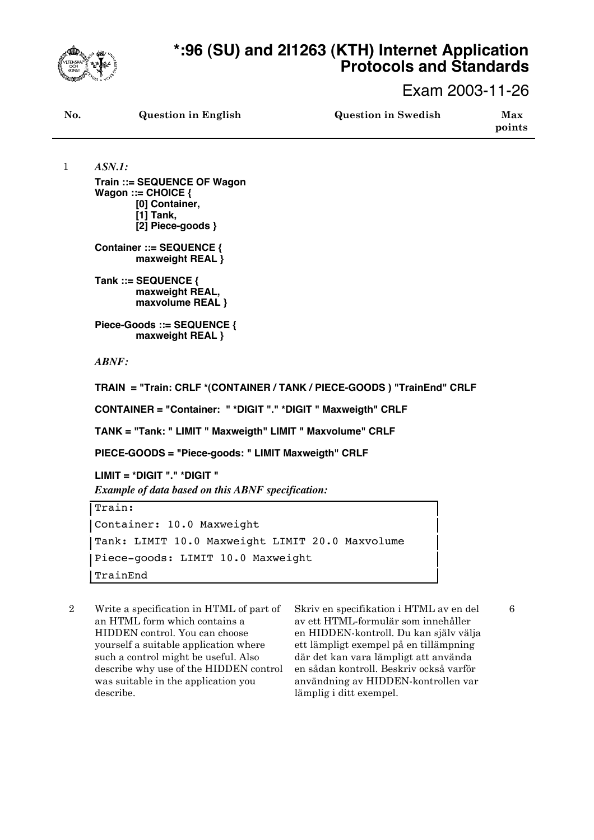

1

# **\*:96 (SU) and 2I1263 (KTH) Internet Application Protocols and Standards**

Exam 2003-11-26

| No. | <b>Question in English</b> | <b>Question in Swedish</b> | Max<br>points |
|-----|----------------------------|----------------------------|---------------|
|     |                            |                            |               |

*ASN.1:* **Train ::= SEQUENCE OF Wagon Wagon ::= CHOICE { [0] Container, [1] Tank, [2] Piece-goods }**

**Container ::= SEQUENCE { maxweight REAL }**

**Tank ::= SEQUENCE { maxweight REAL, maxvolume REAL }**

**Piece-Goods ::= SEQUENCE { maxweight REAL }**

*ABNF:*

**TRAIN = "Train: CRLF \*(CONTAINER / TANK / PIECE-GOODS ) "TrainEnd" CRLF**

**CONTAINER = "Container: " \*DIGIT "." \*DIGIT " Maxweigth" CRLF**

**TANK = "Tank: " LIMIT " Maxweigth" LIMIT " Maxvolume" CRLF**

**PIECE-GOODS = "Piece-goods: " LIMIT Maxweigth" CRLF**

**LIMIT = \*DIGIT "." \*DIGIT "** *Example of data based on this ABNF specification:*

Train: Container: 10.0 Maxweight Tank: LIMIT 10.0 Maxweight LIMIT 20.0 Maxvolume Piece-goods: LIMIT 10.0 Maxweight TrainEnd

2 Write a specification in HTML of part of an HTML form which contains a HIDDEN control. You can choose yourself a suitable application where such a control might be useful. Also describe why use of the HIDDEN control was suitable in the application you describe.

Skriv en specifikation i HTML av en del av ett HTML-formulär som innehåller en HIDDEN-kontroll. Du kan själv välja ett lämpligt exempel på en tillämpning där det kan vara lämpligt att använda en sådan kontroll. Beskriv också varför användning av HIDDEN-kontrollen var lämplig i ditt exempel.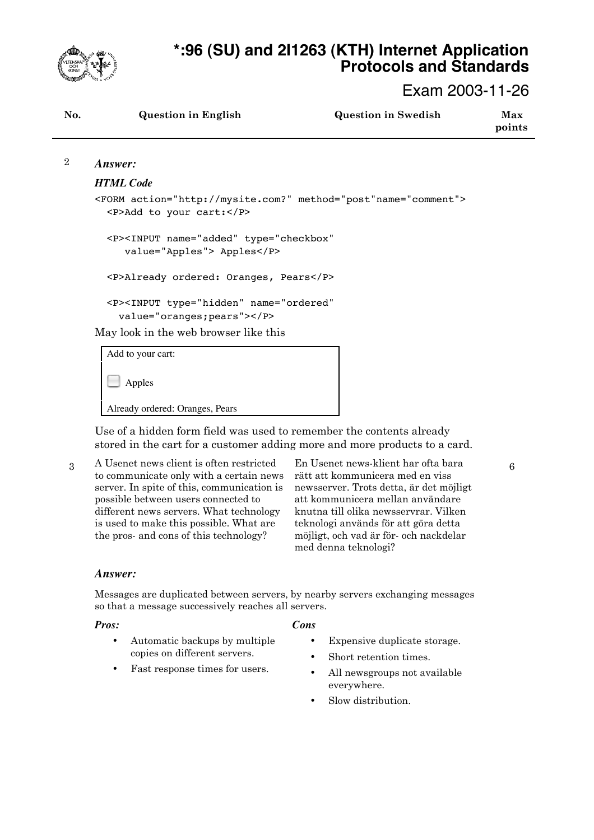

# **\*:96 (SU) and 2I1263 (KTH) Internet Application Protocols and Standards**

Exam 2003-11-26

6

| No. | <b>Question in English</b> | <b>Question in Swedish</b> | Max<br>points |
|-----|----------------------------|----------------------------|---------------|
|     |                            |                            |               |

#### *Answer:* 2

### *HTML Code*

```
<FORM action="http://mysite.com?" method="post"name="comment">
   <P>Add to your cart:</P>
   <P><INPUT name="added" type="checkbox"
      value="Apples"> Apples</P>
   <P>Already ordered: Oranges, Pears</P>
   <P><INPUT type="hidden" name="ordered"
     value="oranges;pears"></P>
```
May look in the web browser like this

| Add to your cart:               |
|---------------------------------|
| $\Box$ Apples                   |
| Already ordered: Oranges, Pears |
|                                 |

Use of a hidden form field was used to remember the contents already stored in the cart for a customer adding more and more products to a card.

3 A Usenet news client is often restricted to communicate only with a certain news server. In spite of this, communication is possible between users connected to different news servers. What technology is used to make this possible. What are the pros- and cons of this technology?

En Usenet news-klient har ofta bara rätt att kommunicera med en viss newsserver. Trots detta, är det möjligt att kommunicera mellan användare knutna till olika newsservrar. Vilken teknologi används för att göra detta möjligt, och vad är för- och nackdelar med denna teknologi?

### *Answer:*

Messages are duplicated between servers, by nearby servers exchanging messages so that a message successively reaches all servers.

### *Pros:*

### *Cons*

- Automatic backups by multiple copies on different servers.
- Fast response times for users.
- Expensive duplicate storage. • Short retention times.
- All newsgroups not available everywhere.
- Slow distribution.